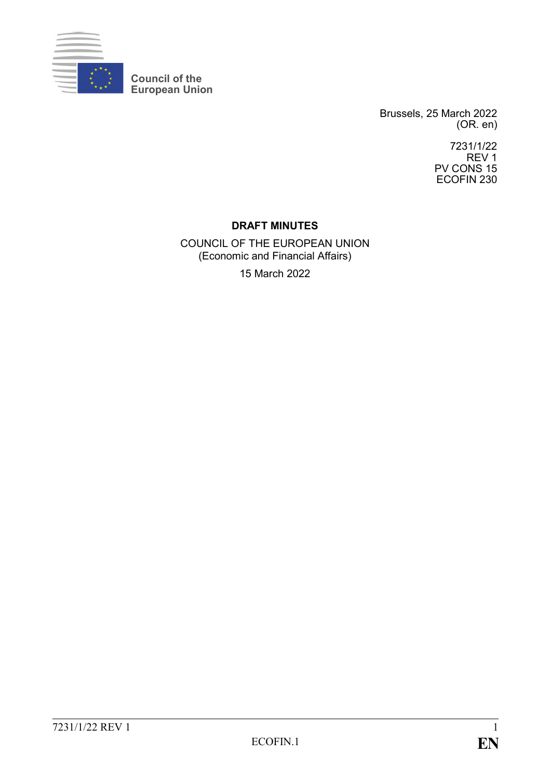

**Council of the European Union**

> Brussels, 25 March 2022 (OR. en)

> > 7231/1/22 REV 1 PV CONS 15 ECOFIN 230

### **DRAFT MINUTES**

COUNCIL OF THE EUROPEAN UNION (Economic and Financial Affairs) 15 March 2022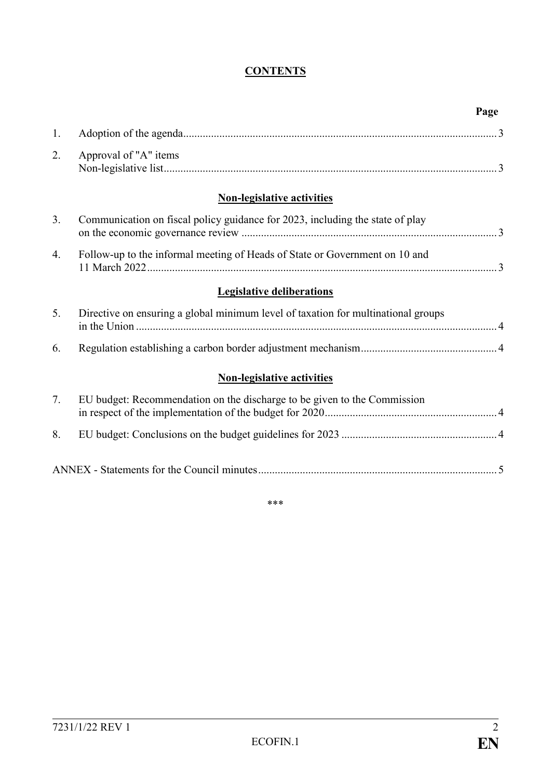# **CONTENTS**

|                |                                                                                   | Page |
|----------------|-----------------------------------------------------------------------------------|------|
| 1.             |                                                                                   |      |
| 2.             | Approval of "A" items                                                             |      |
|                | <b>Non-legislative activities</b>                                                 |      |
| 3 <sub>1</sub> | Communication on fiscal policy guidance for 2023, including the state of play     |      |
| 4.             | Follow-up to the informal meeting of Heads of State or Government on 10 and       |      |
|                | <b>Legislative deliberations</b>                                                  |      |
| 5.             | Directive on ensuring a global minimum level of taxation for multinational groups |      |
| 6.             |                                                                                   |      |
|                | <b>Non-legislative activities</b>                                                 |      |
| 7.             | EU budget: Recommendation on the discharge to be given to the Commission          |      |
| 8.             |                                                                                   |      |
|                |                                                                                   |      |

\*\*\*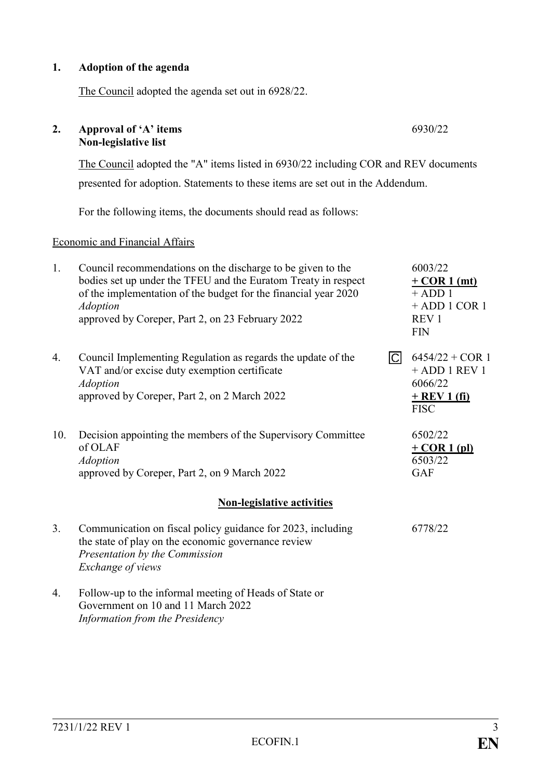#### **1. Adoption of the agenda**

**2. Approval of 'A' items Non-legislative list**

The Council adopted the agenda set out in 6928/22.

presented for adoption. Statements to these items are set out in the Addendum. For the following items, the documents should read as follows: Economic and Financial Affairs 1. Council recommendations on the discharge to be given to the bodies set up under the TFEU and the Euratom Treaty in respect of the implementation of the budget for the financial year 2020 *Adoption* approved by Coreper, Part 2, on 23 February 2022 6003/22 **+ COR 1 (mt)**  $+$  ADD 1 + ADD 1 COR 1 REV 1 FIN 4. Council Implementing Regulation as regards the update of the VAT and/or excise duty exemption certificate *Adoption* approved by Coreper, Part 2, on 2 March 2022  $\overline{C}$  6454/22 + COR 1 + ADD 1 REV 1 6066/22 **+ REV 1 (fi)** FISC 10. Decision appointing the members of the Supervisory Committee of OLAF *Adoption* approved by Coreper, Part 2, on 9 March 2022 6502/22 **+ COR 1 (pl)** 6503/22 GAF **Non-legislative activities** 3. Communication on fiscal policy guidance for 2023, including the state of play on the economic governance review *Presentation by the Commission Exchange of views* 6778/22 4. Follow-up to the informal meeting of Heads of State or Government on 10 and 11 March 2022

The Council adopted the "A" items listed in 6930/22 including COR and REV documents

*Information from the Presidency*

6930/22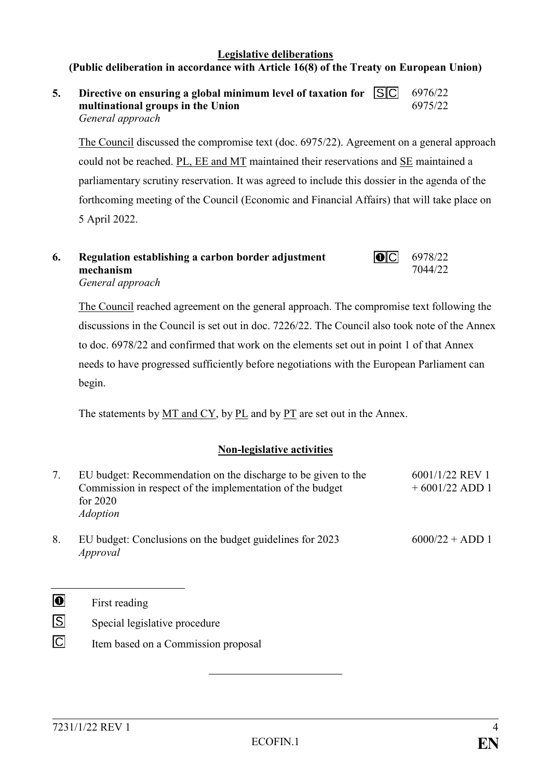#### **Legislative deliberations (Public deliberation in accordance with Article 16(8) of the Treaty on European Union)**

**5. Directive on ensuring a global minimum level of taxation for multinational groups in the Union** *General approach* 6976/22 6975/22

The Council discussed the compromise text (doc. 6975/22). Agreement on a general approach could not be reached. PL, EE and MT maintained their reservations and SE maintained a parliamentary scrutiny reservation. It was agreed to include this dossier in the agenda of the forthcoming meeting of the Council (Economic and Financial Affairs) that will take place on 5 April 2022.

#### $\overline{O}$ **6. Regulation establishing a carbon border adjustment mechanism** *General approach*

The Council reached agreement on the general approach. The compromise text following the discussions in the Council is set out in doc. 7226/22. The Council also took note of the Annex to doc. 6978/22 and confirmed that work on the elements set out in point 1 of that Annex needs to have progressed sufficiently before negotiations with the European Parliament can begin.

The statements by  $MT$  and  $CY$ , by  $PL$  and by  $PT$  are set out in the Annex.

### **Non-legislative activities**

| 7. | EU budget: Recommendation on the discharge to be given to the<br>Commission in respect of the implementation of the budget<br>for $2020$<br><i>Adoption</i> | 6001/1/22 REV 1<br>$+6001/22$ ADD 1 |
|----|-------------------------------------------------------------------------------------------------------------------------------------------------------------|-------------------------------------|
| 8. | EU budget: Conclusions on the budget guidelines for 2023<br>Approval                                                                                        | $6000/22 + ADD 1$                   |

 $\overline{\mathbf{0}}$ First reading

- $\overline{S}$ Special legislative procedure
- $\Box$ Item based on a Commission proposal

6978/22 7044/22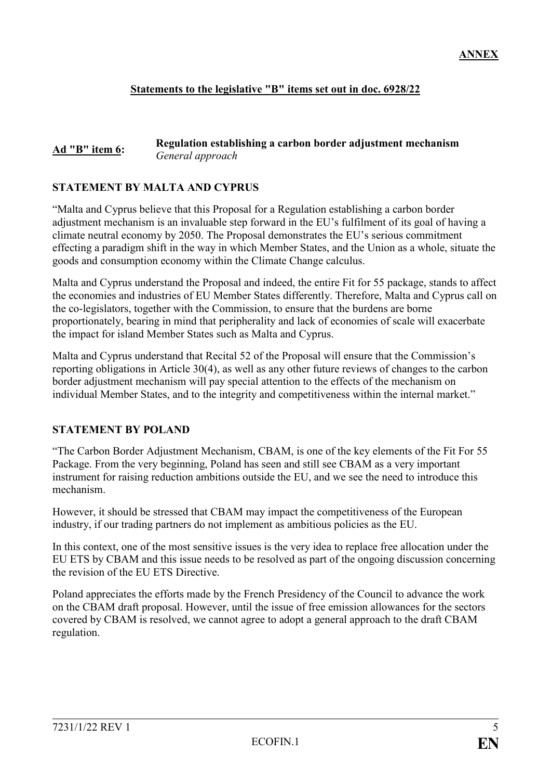### **Statements to the legislative "B" items set out in doc. 6928/22**

#### **Ad "B" item 6: Regulation establishing a carbon border adjustment mechanism** *General approach*

#### **STATEMENT BY MALTA AND CYPRUS**

"Malta and Cyprus believe that this Proposal for a Regulation establishing a carbon border adjustment mechanism is an invaluable step forward in the EU's fulfilment of its goal of having a climate neutral economy by 2050. The Proposal demonstrates the EU's serious commitment effecting a paradigm shift in the way in which Member States, and the Union as a whole, situate the goods and consumption economy within the Climate Change calculus.

Malta and Cyprus understand the Proposal and indeed, the entire Fit for 55 package, stands to affect the economies and industries of EU Member States differently. Therefore, Malta and Cyprus call on the co-legislators, together with the Commission, to ensure that the burdens are borne proportionately, bearing in mind that peripherality and lack of economies of scale will exacerbate the impact for island Member States such as Malta and Cyprus.

Malta and Cyprus understand that Recital 52 of the Proposal will ensure that the Commission's reporting obligations in Article 30(4), as well as any other future reviews of changes to the carbon border adjustment mechanism will pay special attention to the effects of the mechanism on individual Member States, and to the integrity and competitiveness within the internal market."

#### **STATEMENT BY POLAND**

"The Carbon Border Adjustment Mechanism, CBAM, is one of the key elements of the Fit For 55 Package. From the very beginning, Poland has seen and still see CBAM as a very important instrument for raising reduction ambitions outside the EU, and we see the need to introduce this mechanism.

However, it should be stressed that CBAM may impact the competitiveness of the European industry, if our trading partners do not implement as ambitious policies as the EU.

In this context, one of the most sensitive issues is the very idea to replace free allocation under the EU ETS by CBAM and this issue needs to be resolved as part of the ongoing discussion concerning the revision of the EU ETS Directive.

Poland appreciates the efforts made by the French Presidency of the Council to advance the work on the CBAM draft proposal. However, until the issue of free emission allowances for the sectors covered by CBAM is resolved, we cannot agree to adopt a general approach to the draft CBAM regulation.